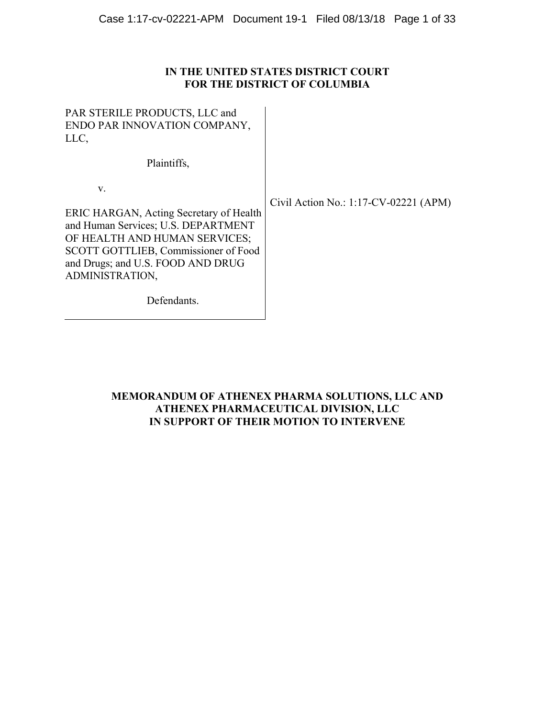# **IN THE UNITED STATES DISTRICT COURT FOR THE DISTRICT OF COLUMBIA**

 $\overline{\phantom{a}}$ 

PAR STERILE PRODUCTS, LLC and ENDO PAR INNOVATION COMPANY, LLC,

Plaintiffs,

v.

Civil Action No.: 1:17-CV-02221 (APM)

ERIC HARGAN, Acting Secretary of Health and Human Services; U.S. DEPARTMENT OF HEALTH AND HUMAN SERVICES; SCOTT GOTTLIEB, Commissioner of Food and Drugs; and U.S. FOOD AND DRUG ADMINISTRATION,

Defendants.

# **MEMORANDUM OF ATHENEX PHARMA SOLUTIONS, LLC AND ATHENEX PHARMACEUTICAL DIVISION, LLC IN SUPPORT OF THEIR MOTION TO INTERVENE**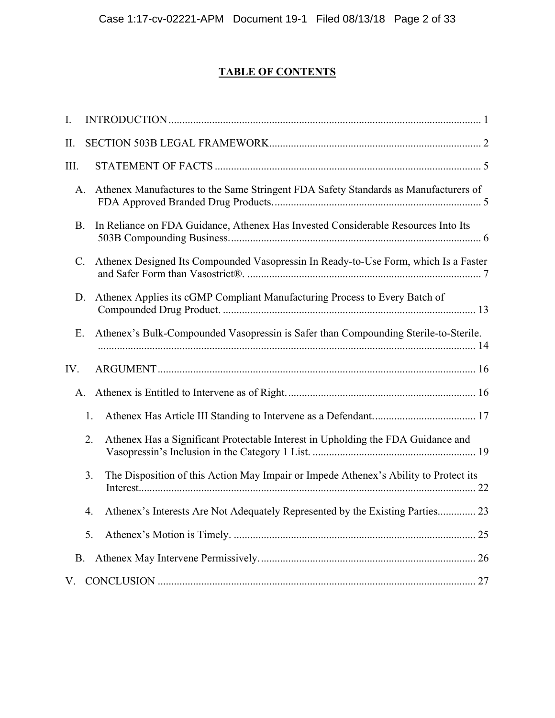# **TABLE OF CONTENTS**

| I.             |    |                                                                                      |
|----------------|----|--------------------------------------------------------------------------------------|
| II.            |    |                                                                                      |
| III.           |    |                                                                                      |
| A.             |    | Athenex Manufactures to the Same Stringent FDA Safety Standards as Manufacturers of  |
| <b>B.</b>      |    | In Reliance on FDA Guidance, Athenex Has Invested Considerable Resources Into Its    |
| $\mathbf{C}$ . |    | Athenex Designed Its Compounded Vasopressin In Ready-to-Use Form, which Is a Faster  |
| D.             |    | Athenex Applies its cGMP Compliant Manufacturing Process to Every Batch of           |
| Ε.             |    | Athenex's Bulk-Compounded Vasopressin is Safer than Compounding Sterile-to-Sterile.  |
|                |    |                                                                                      |
| IV.            |    |                                                                                      |
|                | A. |                                                                                      |
|                | 1. |                                                                                      |
|                | 2. | Athenex Has a Significant Protectable Interest in Upholding the FDA Guidance and     |
|                | 3. | The Disposition of this Action May Impair or Impede Athenex's Ability to Protect its |
|                | 4. | Athenex's Interests Are Not Adequately Represented by the Existing Parties 23        |
|                | 5. |                                                                                      |
| B.             |    |                                                                                      |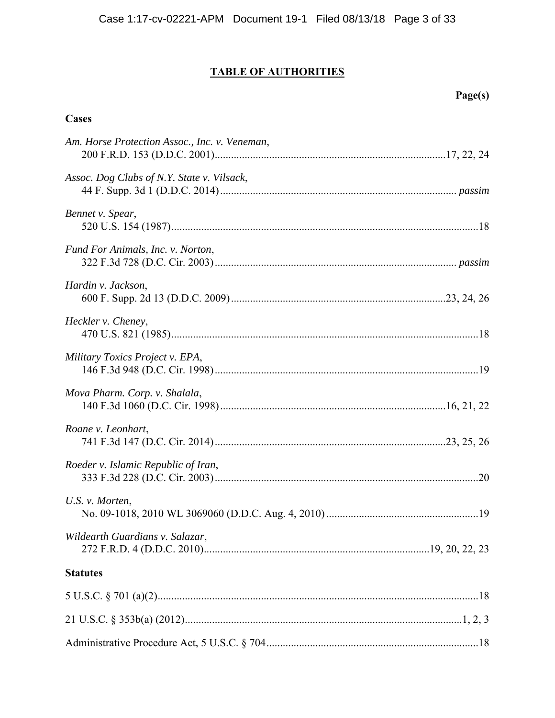# **TABLE OF AUTHORITIES**

# **Page(s)**

# **Cases**

| Am. Horse Protection Assoc., Inc. v. Veneman, |  |
|-----------------------------------------------|--|
| Assoc. Dog Clubs of N.Y. State v. Vilsack,    |  |
| Bennet v. Spear,                              |  |
| Fund For Animals, Inc. v. Norton,             |  |
| Hardin v. Jackson,                            |  |
| Heckler v. Cheney,                            |  |
| Military Toxics Project v. EPA,               |  |
| Mova Pharm. Corp. v. Shalala,                 |  |
| Roane v. Leonhart,                            |  |
| Roeder v. Islamic Republic of Iran,           |  |
| U.S. v. Morten,                               |  |
| Wildearth Guardians v. Salazar,               |  |
| <b>Statutes</b>                               |  |
|                                               |  |
|                                               |  |
|                                               |  |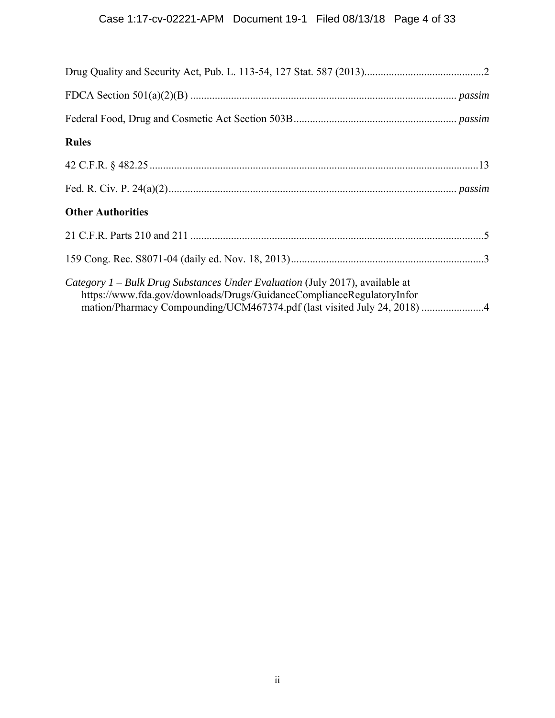| <b>Rules</b>                                                                                                                                                                                                                      |
|-----------------------------------------------------------------------------------------------------------------------------------------------------------------------------------------------------------------------------------|
|                                                                                                                                                                                                                                   |
|                                                                                                                                                                                                                                   |
| <b>Other Authorities</b>                                                                                                                                                                                                          |
|                                                                                                                                                                                                                                   |
|                                                                                                                                                                                                                                   |
| Category 1 – Bulk Drug Substances Under Evaluation (July 2017), available at<br>https://www.fda.gov/downloads/Drugs/GuidanceComplianceRegulatoryInfor<br>mation/Pharmacy Compounding/UCM467374.pdf (last visited July 24, 2018) 4 |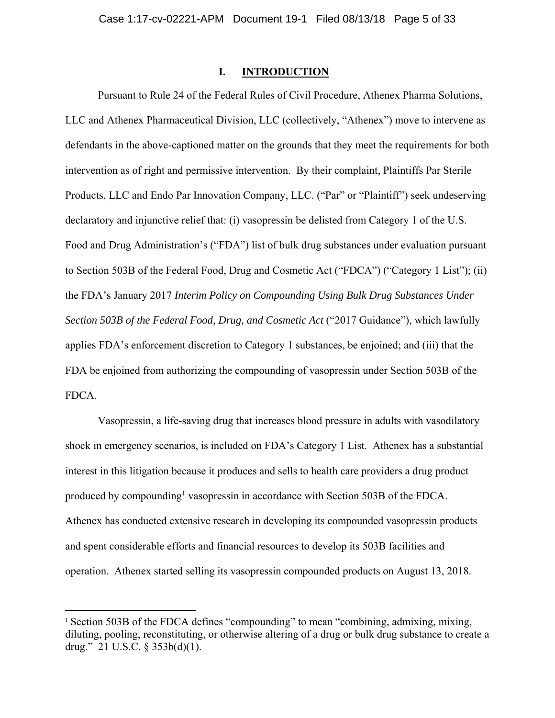## **I. INTRODUCTION**

Pursuant to Rule 24 of the Federal Rules of Civil Procedure, Athenex Pharma Solutions, LLC and Athenex Pharmaceutical Division, LLC (collectively, "Athenex") move to intervene as defendants in the above-captioned matter on the grounds that they meet the requirements for both intervention as of right and permissive intervention. By their complaint, Plaintiffs Par Sterile Products, LLC and Endo Par Innovation Company, LLC. ("Par" or "Plaintiff") seek undeserving declaratory and injunctive relief that: (i) vasopressin be delisted from Category 1 of the U.S. Food and Drug Administration's ("FDA") list of bulk drug substances under evaluation pursuant to Section 503B of the Federal Food, Drug and Cosmetic Act ("FDCA") ("Category 1 List"); (ii) the FDA's January 2017 *Interim Policy on Compounding Using Bulk Drug Substances Under Section 503B of the Federal Food, Drug, and Cosmetic Act* ("2017 Guidance"), which lawfully applies FDA's enforcement discretion to Category 1 substances, be enjoined; and (iii) that the FDA be enjoined from authorizing the compounding of vasopressin under Section 503B of the FDCA.

Vasopressin, a life-saving drug that increases blood pressure in adults with vasodilatory shock in emergency scenarios, is included on FDA's Category 1 List. Athenex has a substantial interest in this litigation because it produces and sells to health care providers a drug product produced by compounding<sup>1</sup> vasopressin in accordance with Section 503B of the FDCA. Athenex has conducted extensive research in developing its compounded vasopressin products and spent considerable efforts and financial resources to develop its 503B facilities and operation. Athenex started selling its vasopressin compounded products on August 13, 2018.

<sup>&</sup>lt;sup>1</sup> Section 503B of the FDCA defines "compounding" to mean "combining, admixing, mixing, diluting, pooling, reconstituting, or otherwise altering of a drug or bulk drug substance to create a drug." 21 U.S.C. § 353b(d)(1).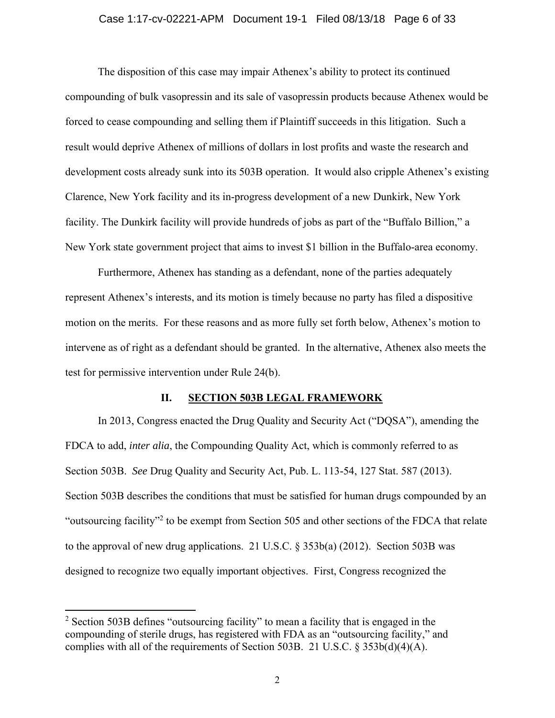### Case 1:17-cv-02221-APM Document 19-1 Filed 08/13/18 Page 6 of 33

The disposition of this case may impair Athenex's ability to protect its continued compounding of bulk vasopressin and its sale of vasopressin products because Athenex would be forced to cease compounding and selling them if Plaintiff succeeds in this litigation. Such a result would deprive Athenex of millions of dollars in lost profits and waste the research and development costs already sunk into its 503B operation. It would also cripple Athenex's existing Clarence, New York facility and its in-progress development of a new Dunkirk, New York facility. The Dunkirk facility will provide hundreds of jobs as part of the "Buffalo Billion," a New York state government project that aims to invest \$1 billion in the Buffalo-area economy.

Furthermore, Athenex has standing as a defendant, none of the parties adequately represent Athenex's interests, and its motion is timely because no party has filed a dispositive motion on the merits. For these reasons and as more fully set forth below, Athenex's motion to intervene as of right as a defendant should be granted. In the alternative, Athenex also meets the test for permissive intervention under Rule 24(b).

### **II. SECTION 503B LEGAL FRAMEWORK**

In 2013, Congress enacted the Drug Quality and Security Act ("DQSA"), amending the FDCA to add, *inter alia*, the Compounding Quality Act, which is commonly referred to as Section 503B. *See* Drug Quality and Security Act, Pub. L. 113-54, 127 Stat. 587 (2013). Section 503B describes the conditions that must be satisfied for human drugs compounded by an "outsourcing facility"<sup>2</sup> to be exempt from Section 505 and other sections of the FDCA that relate to the approval of new drug applications. 21 U.S.C. § 353b(a) (2012). Section 503B was designed to recognize two equally important objectives. First, Congress recognized the

<sup>&</sup>lt;sup>2</sup> Section 503B defines "outsourcing facility" to mean a facility that is engaged in the compounding of sterile drugs, has registered with FDA as an "outsourcing facility," and complies with all of the requirements of Section 503B. 21 U.S.C.  $\S 353b(d)(4)(A)$ .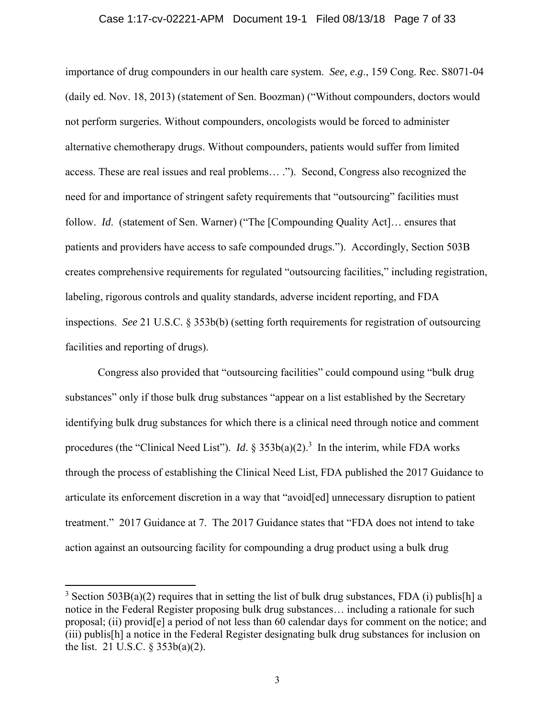### Case 1:17-cv-02221-APM Document 19-1 Filed 08/13/18 Page 7 of 33

importance of drug compounders in our health care system. *See, e.g*., 159 Cong. Rec. S8071-04 (daily ed. Nov. 18, 2013) (statement of Sen. Boozman) ("Without compounders, doctors would not perform surgeries. Without compounders, oncologists would be forced to administer alternative chemotherapy drugs. Without compounders, patients would suffer from limited access. These are real issues and real problems… ."). Second, Congress also recognized the need for and importance of stringent safety requirements that "outsourcing" facilities must follow. *Id*. (statement of Sen. Warner) ("The [Compounding Quality Act]… ensures that patients and providers have access to safe compounded drugs."). Accordingly, Section 503B creates comprehensive requirements for regulated "outsourcing facilities," including registration, labeling, rigorous controls and quality standards, adverse incident reporting, and FDA inspections. *See* 21 U.S.C. § 353b(b) (setting forth requirements for registration of outsourcing facilities and reporting of drugs).

Congress also provided that "outsourcing facilities" could compound using "bulk drug substances" only if those bulk drug substances "appear on a list established by the Secretary identifying bulk drug substances for which there is a clinical need through notice and comment procedures (the "Clinical Need List"). *Id*.  $\S 353b(a)(2)$ .<sup>3</sup> In the interim, while FDA works through the process of establishing the Clinical Need List, FDA published the 2017 Guidance to articulate its enforcement discretion in a way that "avoid[ed] unnecessary disruption to patient treatment." 2017 Guidance at 7. The 2017 Guidance states that "FDA does not intend to take action against an outsourcing facility for compounding a drug product using a bulk drug

<sup>&</sup>lt;sup>3</sup> Section 503B(a)(2) requires that in setting the list of bulk drug substances, FDA (i) publis[h] a notice in the Federal Register proposing bulk drug substances… including a rationale for such proposal; (ii) provid[e] a period of not less than 60 calendar days for comment on the notice; and (iii) publis[h] a notice in the Federal Register designating bulk drug substances for inclusion on the list. 21 U.S.C. § 353b(a)(2).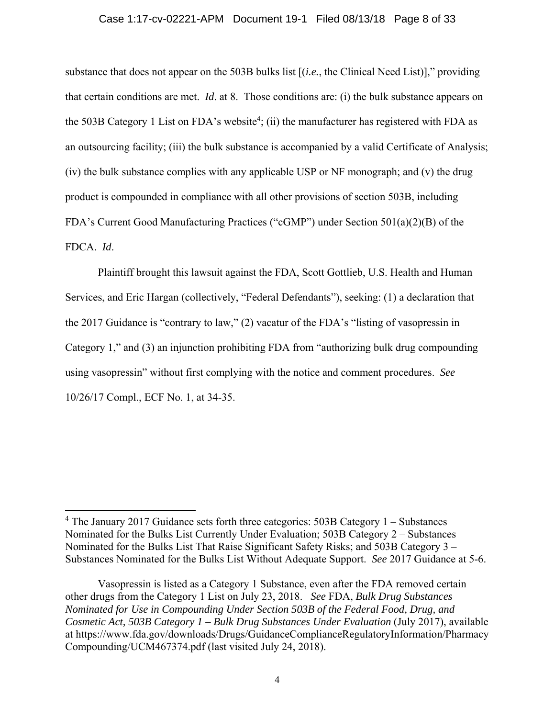### Case 1:17-cv-02221-APM Document 19-1 Filed 08/13/18 Page 8 of 33

substance that does not appear on the 503B bulks list [(*i.e.*, the Clinical Need List)]," providing that certain conditions are met. *Id*. at 8. Those conditions are: (i) the bulk substance appears on the 503B Category 1 List on FDA's website<sup>4</sup>; (ii) the manufacturer has registered with FDA as an outsourcing facility; (iii) the bulk substance is accompanied by a valid Certificate of Analysis; (iv) the bulk substance complies with any applicable USP or NF monograph; and (v) the drug product is compounded in compliance with all other provisions of section 503B, including FDA's Current Good Manufacturing Practices ("cGMP") under Section 501(a)(2)(B) of the FDCA. *Id*.

Plaintiff brought this lawsuit against the FDA, Scott Gottlieb, U.S. Health and Human Services, and Eric Hargan (collectively, "Federal Defendants"), seeking: (1) a declaration that the 2017 Guidance is "contrary to law," (2) vacatur of the FDA's "listing of vasopressin in Category 1," and (3) an injunction prohibiting FDA from "authorizing bulk drug compounding using vasopressin" without first complying with the notice and comment procedures. *See*  10/26/17 Compl., ECF No. 1, at 34-35.

<sup>&</sup>lt;sup>4</sup> The January 2017 Guidance sets forth three categories: 503B Category 1 - Substances Nominated for the Bulks List Currently Under Evaluation; 503B Category 2 – Substances Nominated for the Bulks List That Raise Significant Safety Risks; and 503B Category 3 – Substances Nominated for the Bulks List Without Adequate Support. *See* 2017 Guidance at 5-6.

Vasopressin is listed as a Category 1 Substance, even after the FDA removed certain other drugs from the Category 1 List on July 23, 2018. *See* FDA, *Bulk Drug Substances Nominated for Use in Compounding Under Section 503B of the Federal Food, Drug, and Cosmetic Act, 503B Category 1 – Bulk Drug Substances Under Evaluation* (July 2017), available at https://www.fda.gov/downloads/Drugs/GuidanceComplianceRegulatoryInformation/Pharmacy Compounding/UCM467374.pdf (last visited July 24, 2018).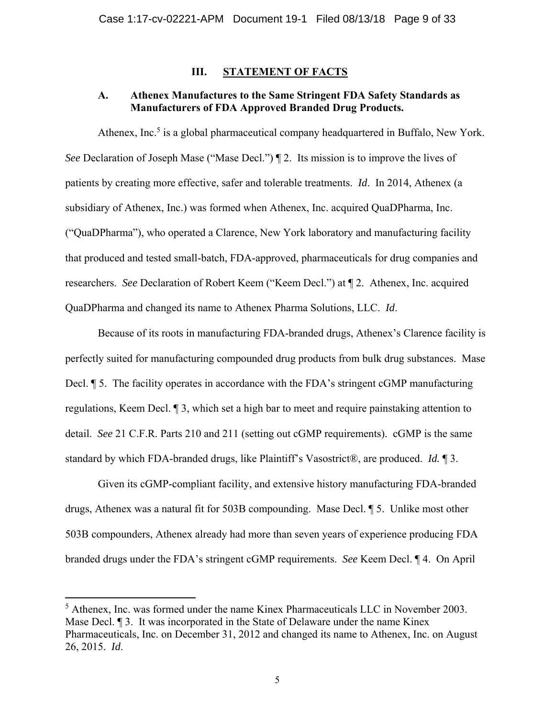# **III. STATEMENT OF FACTS**

# **A. Athenex Manufactures to the Same Stringent FDA Safety Standards as Manufacturers of FDA Approved Branded Drug Products.**

Athenex, Inc.<sup>5</sup> is a global pharmaceutical company headquartered in Buffalo, New York. *See* Declaration of Joseph Mase ("Mase Decl.")  $\P$  2. Its mission is to improve the lives of patients by creating more effective, safer and tolerable treatments. *Id*. In 2014, Athenex (a subsidiary of Athenex, Inc.) was formed when Athenex, Inc. acquired QuaDPharma, Inc. ("QuaDPharma"), who operated a Clarence, New York laboratory and manufacturing facility that produced and tested small-batch, FDA-approved, pharmaceuticals for drug companies and researchers. *See* Declaration of Robert Keem ("Keem Decl.") at ¶ 2. Athenex, Inc. acquired QuaDPharma and changed its name to Athenex Pharma Solutions, LLC. *Id*.

Because of its roots in manufacturing FDA-branded drugs, Athenex's Clarence facility is perfectly suited for manufacturing compounded drug products from bulk drug substances. Mase Decl.  $\parallel$  5. The facility operates in accordance with the FDA's stringent cGMP manufacturing regulations, Keem Decl. ¶ 3, which set a high bar to meet and require painstaking attention to detail. *See* 21 C.F.R. Parts 210 and 211 (setting out cGMP requirements). cGMP is the same standard by which FDA-branded drugs, like Plaintiff's Vasostrict®, are produced. *Id.* ¶ 3.

Given its cGMP-compliant facility, and extensive history manufacturing FDA-branded drugs, Athenex was a natural fit for 503B compounding. Mase Decl. ¶ 5. Unlike most other 503B compounders, Athenex already had more than seven years of experience producing FDA branded drugs under the FDA's stringent cGMP requirements. *See* Keem Decl. ¶ 4. On April

<sup>&</sup>lt;sup>5</sup> Athenex, Inc. was formed under the name Kinex Pharmaceuticals LLC in November 2003. Mase Decl. ¶ 3. It was incorporated in the State of Delaware under the name Kinex Pharmaceuticals, Inc. on December 31, 2012 and changed its name to Athenex, Inc. on August 26, 2015. *Id*.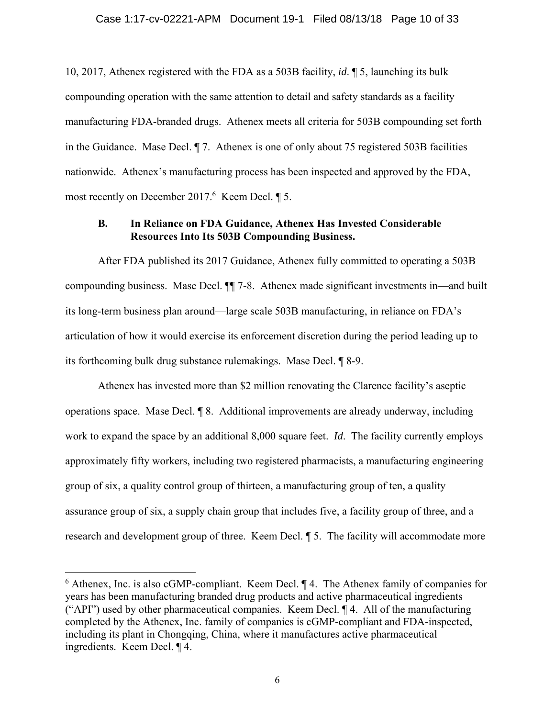10, 2017, Athenex registered with the FDA as a 503B facility, *id*. ¶ 5, launching its bulk compounding operation with the same attention to detail and safety standards as a facility manufacturing FDA-branded drugs. Athenex meets all criteria for 503B compounding set forth in the Guidance. Mase Decl. ¶ 7. Athenex is one of only about 75 registered 503B facilities nationwide. Athenex's manufacturing process has been inspected and approved by the FDA, most recently on December  $2017<sup>6</sup>$  Keem Decl.  $\P$  5.

# **B. In Reliance on FDA Guidance, Athenex Has Invested Considerable Resources Into Its 503B Compounding Business.**

After FDA published its 2017 Guidance, Athenex fully committed to operating a 503B compounding business. Mase Decl. ¶¶ 7-8. Athenex made significant investments in—and built its long-term business plan around—large scale 503B manufacturing, in reliance on FDA's articulation of how it would exercise its enforcement discretion during the period leading up to its forthcoming bulk drug substance rulemakings. Mase Decl. ¶ 8-9.

Athenex has invested more than \$2 million renovating the Clarence facility's aseptic operations space. Mase Decl. ¶ 8. Additional improvements are already underway, including work to expand the space by an additional 8,000 square feet. *Id*. The facility currently employs approximately fifty workers, including two registered pharmacists, a manufacturing engineering group of six, a quality control group of thirteen, a manufacturing group of ten, a quality assurance group of six, a supply chain group that includes five, a facility group of three, and a research and development group of three. Keem Decl. ¶ 5. The facility will accommodate more

 $6$  Athenex, Inc. is also cGMP-compliant. Keem Decl.  $\P$  4. The Athenex family of companies for years has been manufacturing branded drug products and active pharmaceutical ingredients ("API") used by other pharmaceutical companies. Keem Decl. ¶ 4. All of the manufacturing completed by the Athenex, Inc. family of companies is cGMP-compliant and FDA-inspected, including its plant in Chongqing, China, where it manufactures active pharmaceutical ingredients. Keem Decl. ¶ 4.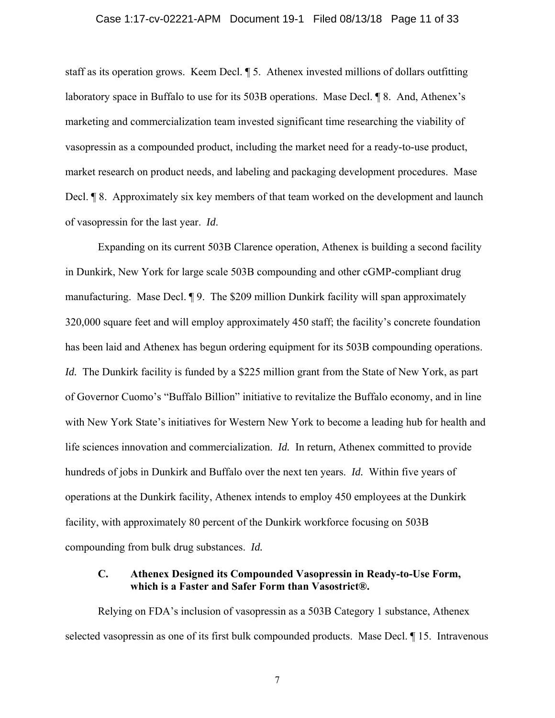### Case 1:17-cv-02221-APM Document 19-1 Filed 08/13/18 Page 11 of 33

staff as its operation grows. Keem Decl. ¶ 5. Athenex invested millions of dollars outfitting laboratory space in Buffalo to use for its 503B operations. Mase Decl. ¶ 8. And, Athenex's marketing and commercialization team invested significant time researching the viability of vasopressin as a compounded product, including the market need for a ready-to-use product, market research on product needs, and labeling and packaging development procedures. Mase Decl. **[8.** Approximately six key members of that team worked on the development and launch of vasopressin for the last year. *Id*.

Expanding on its current 503B Clarence operation, Athenex is building a second facility in Dunkirk, New York for large scale 503B compounding and other cGMP-compliant drug manufacturing. Mase Decl. ¶ 9. The \$209 million Dunkirk facility will span approximately 320,000 square feet and will employ approximately 450 staff; the facility's concrete foundation has been laid and Athenex has begun ordering equipment for its 503B compounding operations. *Id.* The Dunkirk facility is funded by a \$225 million grant from the State of New York, as part of Governor Cuomo's "Buffalo Billion" initiative to revitalize the Buffalo economy, and in line with New York State's initiatives for Western New York to become a leading hub for health and life sciences innovation and commercialization. *Id.* In return, Athenex committed to provide hundreds of jobs in Dunkirk and Buffalo over the next ten years. *Id.* Within five years of operations at the Dunkirk facility, Athenex intends to employ 450 employees at the Dunkirk facility, with approximately 80 percent of the Dunkirk workforce focusing on 503B compounding from bulk drug substances. *Id.*

# **C. Athenex Designed its Compounded Vasopressin in Ready-to-Use Form, which is a Faster and Safer Form than Vasostrict®.**

Relying on FDA's inclusion of vasopressin as a 503B Category 1 substance, Athenex selected vasopressin as one of its first bulk compounded products. Mase Decl. ¶ 15. Intravenous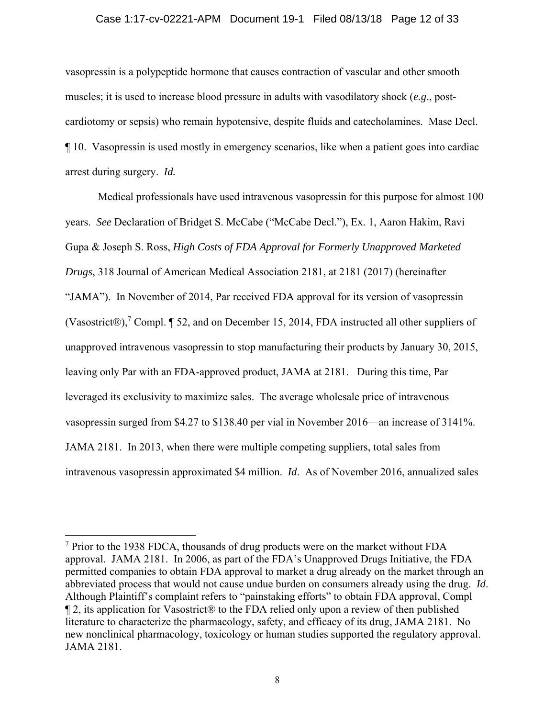### Case 1:17-cv-02221-APM Document 19-1 Filed 08/13/18 Page 12 of 33

vasopressin is a polypeptide hormone that causes contraction of vascular and other smooth muscles; it is used to increase blood pressure in adults with vasodilatory shock (*e.g*., postcardiotomy or sepsis) who remain hypotensive, despite fluids and catecholamines. Mase Decl. ¶ 10. Vasopressin is used mostly in emergency scenarios, like when a patient goes into cardiac arrest during surgery. *Id.*

Medical professionals have used intravenous vasopressin for this purpose for almost 100 years. *See* Declaration of Bridget S. McCabe ("McCabe Decl."), Ex. 1, Aaron Hakim, Ravi Gupa & Joseph S. Ross, *High Costs of FDA Approval for Formerly Unapproved Marketed Drugs*, 318 Journal of American Medical Association 2181, at 2181 (2017) (hereinafter "JAMA"). In November of 2014, Par received FDA approval for its version of vasopressin (Vasostrict®),<sup>7</sup> Compl. ¶ 52, and on December 15, 2014, FDA instructed all other suppliers of unapproved intravenous vasopressin to stop manufacturing their products by January 30, 2015, leaving only Par with an FDA-approved product, JAMA at 2181. During this time, Par leveraged its exclusivity to maximize sales. The average wholesale price of intravenous vasopressin surged from \$4.27 to \$138.40 per vial in November 2016—an increase of 3141%. JAMA 2181. In 2013, when there were multiple competing suppliers, total sales from intravenous vasopressin approximated \$4 million. *Id*. As of November 2016, annualized sales

<sup>&</sup>lt;sup>7</sup> Prior to the 1938 FDCA, thousands of drug products were on the market without FDA approval. JAMA 2181. In 2006, as part of the FDA's Unapproved Drugs Initiative, the FDA permitted companies to obtain FDA approval to market a drug already on the market through an abbreviated process that would not cause undue burden on consumers already using the drug. *Id*. Although Plaintiff's complaint refers to "painstaking efforts" to obtain FDA approval, Compl ¶ 2, its application for Vasostrict® to the FDA relied only upon a review of then published literature to characterize the pharmacology, safety, and efficacy of its drug, JAMA 2181. No new nonclinical pharmacology, toxicology or human studies supported the regulatory approval. JAMA 2181.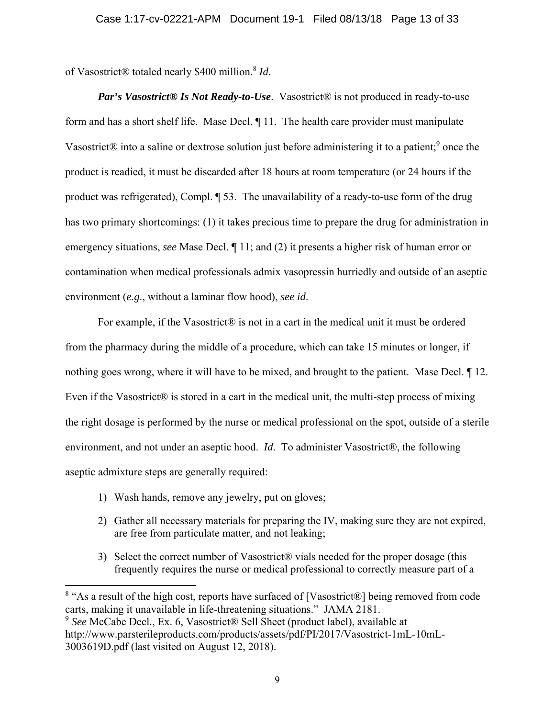of Vasostrict® totaled nearly \$400 million.8 *Id*.

*Par's Vasostrict® Is Not Ready-to-Use.* Vasostrict® is not produced in ready-to-use form and has a short shelf life. Mase Decl. ¶ 11. The health care provider must manipulate Vasostrict® into a saline or dextrose solution just before administering it to a patient;<sup>9</sup> once the product is readied, it must be discarded after 18 hours at room temperature (or 24 hours if the product was refrigerated), Compl. ¶ 53. The unavailability of a ready-to-use form of the drug has two primary shortcomings: (1) it takes precious time to prepare the drug for administration in emergency situations, *see* Mase Decl. ¶ 11; and (2) it presents a higher risk of human error or contamination when medical professionals admix vasopressin hurriedly and outside of an aseptic environment (*e.g*., without a laminar flow hood), *see id*.

For example, if the Vasostrict® is not in a cart in the medical unit it must be ordered from the pharmacy during the middle of a procedure, which can take 15 minutes or longer, if nothing goes wrong, where it will have to be mixed, and brought to the patient. Mase Decl. ¶ 12. Even if the Vasostrict® is stored in a cart in the medical unit, the multi-step process of mixing the right dosage is performed by the nurse or medical professional on the spot, outside of a sterile environment, and not under an aseptic hood. *Id*. To administer Vasostrict®, the following aseptic admixture steps are generally required:

1) Wash hands, remove any jewelry, put on gloves;

- 2) Gather all necessary materials for preparing the IV, making sure they are not expired, are free from particulate matter, and not leaking;
- 3) Select the correct number of Vasostrict® vials needed for the proper dosage (this frequently requires the nurse or medical professional to correctly measure part of a

<sup>&</sup>lt;sup>8</sup> "As a result of the high cost, reports have surfaced of [Vasostrict®] being removed from code carts, making it unavailable in life-threatening situations." JAMA 2181.

<sup>9</sup> *See* McCabe Decl., Ex. 6, Vasostrict® Sell Sheet (product label), available at http://www.parsterileproducts.com/products/assets/pdf/PI/2017/Vasostrict-1mL-10mL-3003619D.pdf (last visited on August 12, 2018).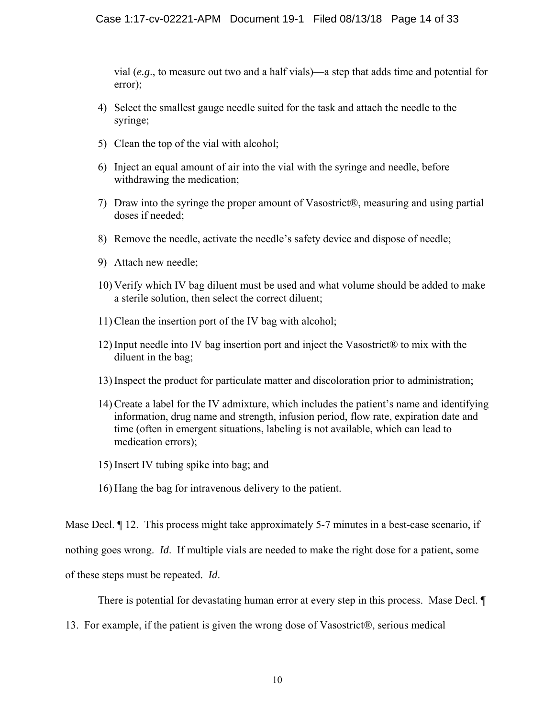vial (*e.g*., to measure out two and a half vials)—a step that adds time and potential for error);

- 4) Select the smallest gauge needle suited for the task and attach the needle to the syringe;
- 5) Clean the top of the vial with alcohol;
- 6) Inject an equal amount of air into the vial with the syringe and needle, before withdrawing the medication;
- 7) Draw into the syringe the proper amount of Vasostrict®, measuring and using partial doses if needed;
- 8) Remove the needle, activate the needle's safety device and dispose of needle;
- 9) Attach new needle;
- 10) Verify which IV bag diluent must be used and what volume should be added to make a sterile solution, then select the correct diluent;
- 11) Clean the insertion port of the IV bag with alcohol;
- 12) Input needle into IV bag insertion port and inject the Vasostrict<sup>®</sup> to mix with the diluent in the bag;
- 13) Inspect the product for particulate matter and discoloration prior to administration;
- 14) Create a label for the IV admixture, which includes the patient's name and identifying information, drug name and strength, infusion period, flow rate, expiration date and time (often in emergent situations, labeling is not available, which can lead to medication errors);
- 15) Insert IV tubing spike into bag; and
- 16) Hang the bag for intravenous delivery to the patient.

Mase Decl.  $\P$  12. This process might take approximately 5-7 minutes in a best-case scenario, if

nothing goes wrong. *Id*. If multiple vials are needed to make the right dose for a patient, some

of these steps must be repeated. *Id*.

There is potential for devastating human error at every step in this process. Mase Decl. ¶

13. For example, if the patient is given the wrong dose of Vasostrict®, serious medical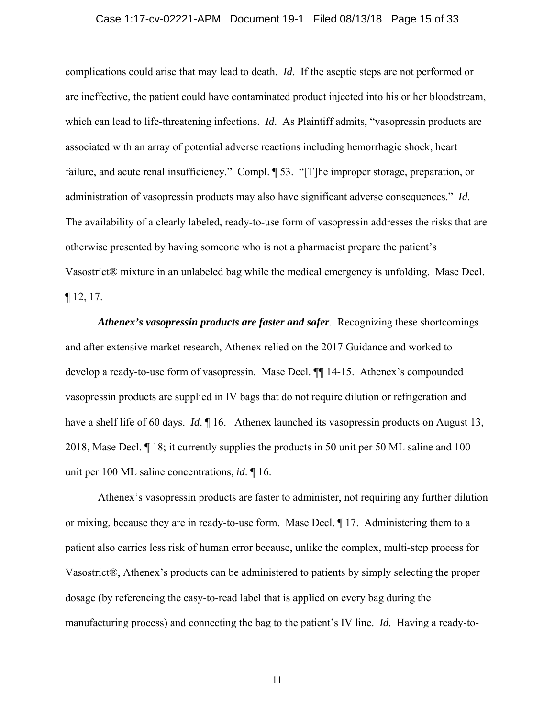### Case 1:17-cv-02221-APM Document 19-1 Filed 08/13/18 Page 15 of 33

complications could arise that may lead to death. *Id*. If the aseptic steps are not performed or are ineffective, the patient could have contaminated product injected into his or her bloodstream, which can lead to life-threatening infections. *Id*. As Plaintiff admits, "vasopressin products are associated with an array of potential adverse reactions including hemorrhagic shock, heart failure, and acute renal insufficiency." Compl. ¶ 53. "[T]he improper storage, preparation, or administration of vasopressin products may also have significant adverse consequences." *Id*. The availability of a clearly labeled, ready-to-use form of vasopressin addresses the risks that are otherwise presented by having someone who is not a pharmacist prepare the patient's Vasostrict® mixture in an unlabeled bag while the medical emergency is unfolding. Mase Decl. ¶ 12, 17.

*Athenex's vasopressin products are faster and safer*. Recognizing these shortcomings and after extensive market research, Athenex relied on the 2017 Guidance and worked to develop a ready-to-use form of vasopressin. Mase Decl. ¶¶ 14-15. Athenex's compounded vasopressin products are supplied in IV bags that do not require dilution or refrigeration and have a shelf life of 60 days. *Id*. 16. Athenex launched its vasopressin products on August 13, 2018, Mase Decl. ¶ 18; it currently supplies the products in 50 unit per 50 ML saline and 100 unit per 100 ML saline concentrations, *id*. ¶ 16.

Athenex's vasopressin products are faster to administer, not requiring any further dilution or mixing, because they are in ready-to-use form. Mase Decl. ¶ 17. Administering them to a patient also carries less risk of human error because, unlike the complex, multi-step process for Vasostrict®, Athenex's products can be administered to patients by simply selecting the proper dosage (by referencing the easy-to-read label that is applied on every bag during the manufacturing process) and connecting the bag to the patient's IV line. *Id.* Having a ready-to-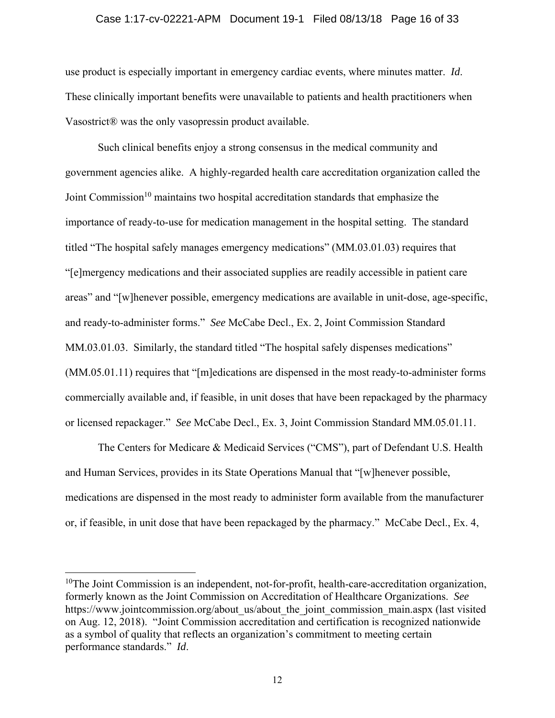### Case 1:17-cv-02221-APM Document 19-1 Filed 08/13/18 Page 16 of 33

use product is especially important in emergency cardiac events, where minutes matter. *Id*. These clinically important benefits were unavailable to patients and health practitioners when Vasostrict® was the only vasopressin product available.

Such clinical benefits enjoy a strong consensus in the medical community and government agencies alike. A highly-regarded health care accreditation organization called the Joint Commission<sup>10</sup> maintains two hospital accreditation standards that emphasize the importance of ready-to-use for medication management in the hospital setting. The standard titled "The hospital safely manages emergency medications" (MM.03.01.03) requires that "[e]mergency medications and their associated supplies are readily accessible in patient care areas" and "[w]henever possible, emergency medications are available in unit-dose, age-specific, and ready-to-administer forms." *See* McCabe Decl., Ex. 2, Joint Commission Standard MM.03.01.03. Similarly, the standard titled "The hospital safely dispenses medications" (MM.05.01.11) requires that "[m]edications are dispensed in the most ready-to-administer forms commercially available and, if feasible, in unit doses that have been repackaged by the pharmacy or licensed repackager." *See* McCabe Decl., Ex. 3, Joint Commission Standard MM.05.01.11.

The Centers for Medicare & Medicaid Services ("CMS"), part of Defendant U.S. Health and Human Services, provides in its State Operations Manual that "[w]henever possible, medications are dispensed in the most ready to administer form available from the manufacturer or, if feasible, in unit dose that have been repackaged by the pharmacy." McCabe Decl., Ex. 4,

<sup>&</sup>lt;sup>10</sup>The Joint Commission is an independent, not-for-profit, health-care-accreditation organization, formerly known as the Joint Commission on Accreditation of Healthcare Organizations. *See*  https://www.jointcommission.org/about\_us/about\_the\_joint\_commission\_main.aspx (last visited on Aug. 12, 2018). "Joint Commission accreditation and certification is recognized nationwide as a symbol of quality that reflects an organization's commitment to meeting certain performance standards." *Id*.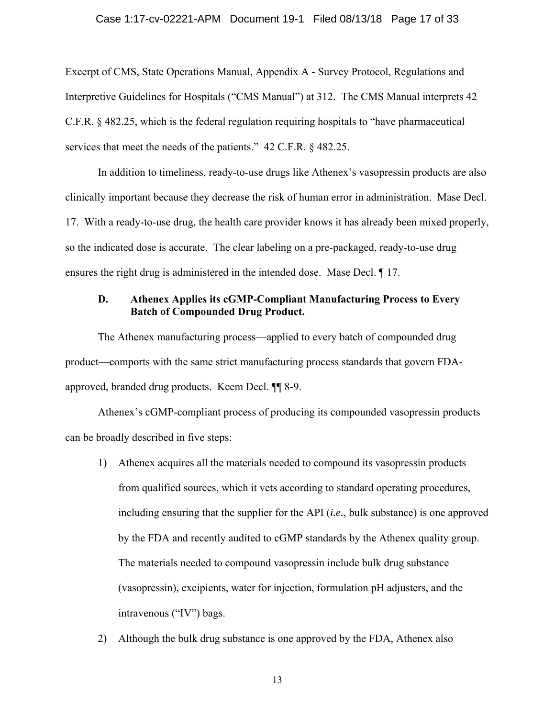### Case 1:17-cv-02221-APM Document 19-1 Filed 08/13/18 Page 17 of 33

Excerpt of CMS, State Operations Manual, Appendix A - Survey Protocol, Regulations and Interpretive Guidelines for Hospitals ("CMS Manual") at 312. The CMS Manual interprets 42 C.F.R. § 482.25, which is the federal regulation requiring hospitals to "have pharmaceutical services that meet the needs of the patients." 42 C.F.R. § 482.25.

In addition to timeliness, ready-to-use drugs like Athenex's vasopressin products are also clinically important because they decrease the risk of human error in administration. Mase Decl. 17. With a ready-to-use drug, the health care provider knows it has already been mixed properly, so the indicated dose is accurate. The clear labeling on a pre-packaged, ready-to-use drug ensures the right drug is administered in the intended dose. Mase Decl. ¶ 17.

# **D. Athenex Applies its cGMP-Compliant Manufacturing Process to Every Batch of Compounded Drug Product.**

The Athenex manufacturing process—applied to every batch of compounded drug product—comports with the same strict manufacturing process standards that govern FDAapproved, branded drug products. Keem Decl. ¶¶ 8-9.

Athenex's cGMP-compliant process of producing its compounded vasopressin products can be broadly described in five steps:

- 1) Athenex acquires all the materials needed to compound its vasopressin products from qualified sources, which it vets according to standard operating procedures, including ensuring that the supplier for the API (*i.e.*, bulk substance) is one approved by the FDA and recently audited to cGMP standards by the Athenex quality group. The materials needed to compound vasopressin include bulk drug substance (vasopressin), excipients, water for injection, formulation pH adjusters, and the intravenous ("IV") bags.
- 2) Although the bulk drug substance is one approved by the FDA, Athenex also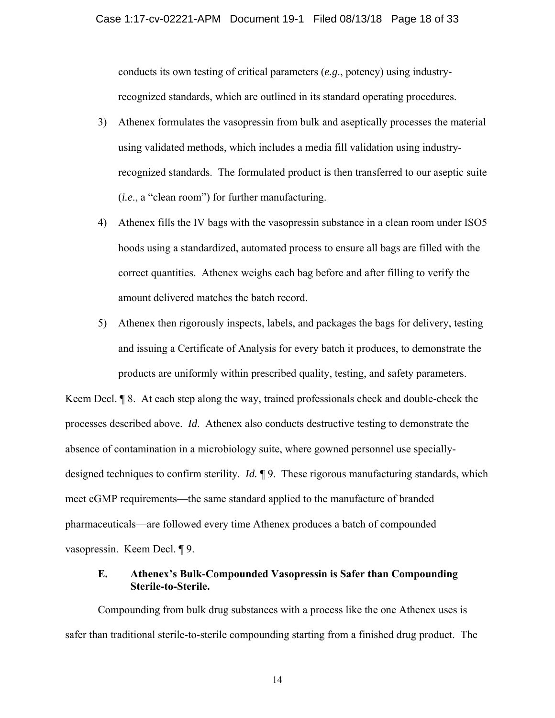conducts its own testing of critical parameters (*e.g*., potency) using industryrecognized standards, which are outlined in its standard operating procedures.

- 3) Athenex formulates the vasopressin from bulk and aseptically processes the material using validated methods, which includes a media fill validation using industryrecognized standards. The formulated product is then transferred to our aseptic suite (*i.e*., a "clean room") for further manufacturing.
- 4) Athenex fills the IV bags with the vasopressin substance in a clean room under ISO5 hoods using a standardized, automated process to ensure all bags are filled with the correct quantities. Athenex weighs each bag before and after filling to verify the amount delivered matches the batch record.
- 5) Athenex then rigorously inspects, labels, and packages the bags for delivery, testing and issuing a Certificate of Analysis for every batch it produces, to demonstrate the products are uniformly within prescribed quality, testing, and safety parameters.

Keem Decl. ¶ 8. At each step along the way, trained professionals check and double-check the processes described above. *Id*. Athenex also conducts destructive testing to demonstrate the absence of contamination in a microbiology suite, where gowned personnel use speciallydesigned techniques to confirm sterility. *Id.* ¶ 9. These rigorous manufacturing standards, which meet cGMP requirements—the same standard applied to the manufacture of branded pharmaceuticals—are followed every time Athenex produces a batch of compounded vasopressin. Keem Decl. ¶ 9.

# **E. Athenex's Bulk-Compounded Vasopressin is Safer than Compounding Sterile-to-Sterile.**

Compounding from bulk drug substances with a process like the one Athenex uses is safer than traditional sterile-to-sterile compounding starting from a finished drug product. The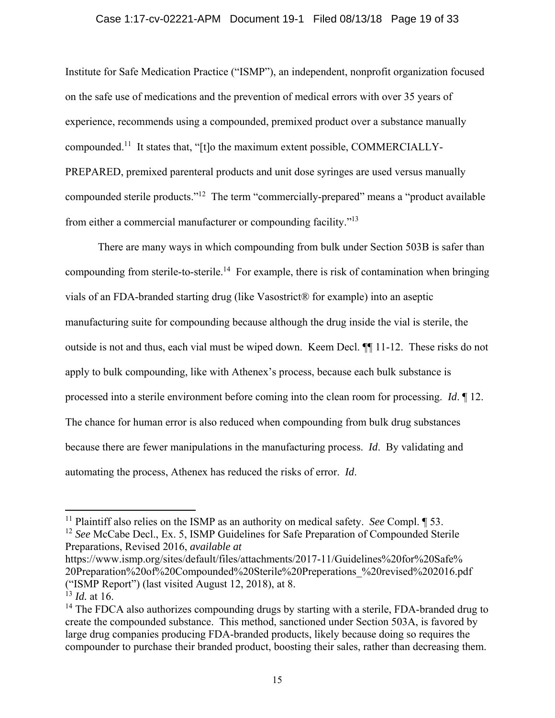# Case 1:17-cv-02221-APM Document 19-1 Filed 08/13/18 Page 19 of 33

Institute for Safe Medication Practice ("ISMP"), an independent, nonprofit organization focused on the safe use of medications and the prevention of medical errors with over 35 years of experience, recommends using a compounded, premixed product over a substance manually compounded.11 It states that, "[t]o the maximum extent possible, COMMERCIALLY-PREPARED, premixed parenteral products and unit dose syringes are used versus manually compounded sterile products."12 The term "commercially-prepared" means a "product available from either a commercial manufacturer or compounding facility."13

There are many ways in which compounding from bulk under Section 503B is safer than compounding from sterile-to-sterile.<sup>14</sup> For example, there is risk of contamination when bringing vials of an FDA-branded starting drug (like Vasostrict® for example) into an aseptic manufacturing suite for compounding because although the drug inside the vial is sterile, the outside is not and thus, each vial must be wiped down. Keem Decl. ¶¶ 11-12. These risks do not apply to bulk compounding, like with Athenex's process, because each bulk substance is processed into a sterile environment before coming into the clean room for processing. *Id*. ¶ 12. The chance for human error is also reduced when compounding from bulk drug substances because there are fewer manipulations in the manufacturing process. *Id*. By validating and automating the process, Athenex has reduced the risks of error. *Id*.

https://www.ismp.org/sites/default/files/attachments/2017-11/Guidelines%20for%20Safe% 20Preparation%20of%20Compounded%20Sterile%20Preperations\_%20revised%202016.pdf ("ISMP Report") (last visited August 12, 2018), at 8.

<sup>11</sup> Plaintiff also relies on the ISMP as an authority on medical safety. *See* Compl. ¶ 53.

<sup>12</sup> *See* McCabe Decl., Ex. 5, ISMP Guidelines for Safe Preparation of Compounded Sterile Preparations, Revised 2016, *available at*

<sup>13</sup> *Id.* at 16.

 $14$  The FDCA also authorizes compounding drugs by starting with a sterile, FDA-branded drug to create the compounded substance. This method, sanctioned under Section 503A, is favored by large drug companies producing FDA-branded products, likely because doing so requires the compounder to purchase their branded product, boosting their sales, rather than decreasing them.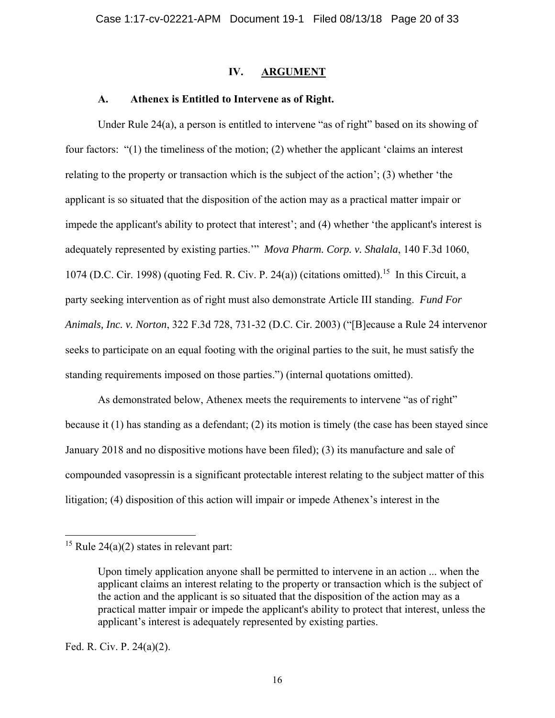# **IV. ARGUMENT**

## **A. Athenex is Entitled to Intervene as of Right.**

Under Rule 24(a), a person is entitled to intervene "as of right" based on its showing of four factors: "(1) the timeliness of the motion; (2) whether the applicant 'claims an interest relating to the property or transaction which is the subject of the action'; (3) whether 'the applicant is so situated that the disposition of the action may as a practical matter impair or impede the applicant's ability to protect that interest'; and (4) whether 'the applicant's interest is adequately represented by existing parties.'" *Mova Pharm. Corp. v. Shalala*, 140 F.3d 1060, 1074 (D.C. Cir. 1998) (quoting Fed. R. Civ. P. 24(a)) (citations omitted).15 In this Circuit, a party seeking intervention as of right must also demonstrate Article III standing. *Fund For Animals, Inc. v. Norton*, 322 F.3d 728, 731-32 (D.C. Cir. 2003) ("[B]ecause a Rule 24 intervenor seeks to participate on an equal footing with the original parties to the suit, he must satisfy the standing requirements imposed on those parties.") (internal quotations omitted).

As demonstrated below, Athenex meets the requirements to intervene "as of right" because it (1) has standing as a defendant; (2) its motion is timely (the case has been stayed since January 2018 and no dispositive motions have been filed); (3) its manufacture and sale of compounded vasopressin is a significant protectable interest relating to the subject matter of this litigation; (4) disposition of this action will impair or impede Athenex's interest in the

Fed. R. Civ. P. 24(a)(2).

<sup>&</sup>lt;sup>15</sup> Rule 24(a)(2) states in relevant part:

Upon timely application anyone shall be permitted to intervene in an action ... when the applicant claims an interest relating to the property or transaction which is the subject of the action and the applicant is so situated that the disposition of the action may as a practical matter impair or impede the applicant's ability to protect that interest, unless the applicant's interest is adequately represented by existing parties.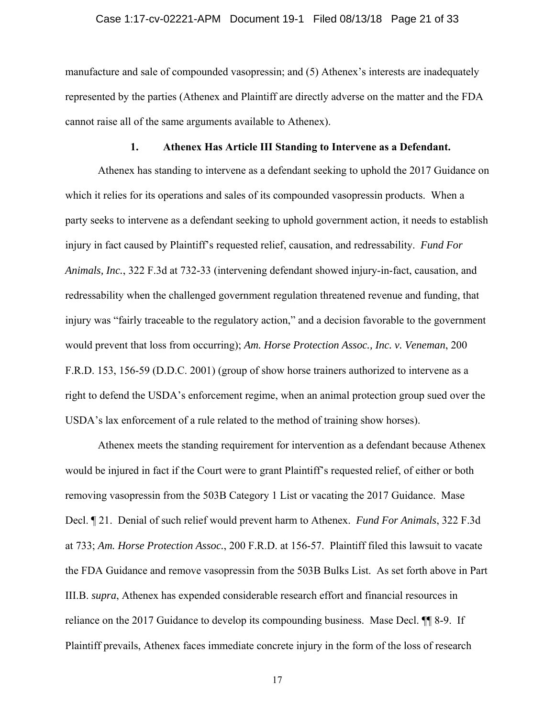### Case 1:17-cv-02221-APM Document 19-1 Filed 08/13/18 Page 21 of 33

manufacture and sale of compounded vasopressin; and (5) Athenex's interests are inadequately represented by the parties (Athenex and Plaintiff are directly adverse on the matter and the FDA cannot raise all of the same arguments available to Athenex).

## **1. Athenex Has Article III Standing to Intervene as a Defendant.**

Athenex has standing to intervene as a defendant seeking to uphold the 2017 Guidance on which it relies for its operations and sales of its compounded vasopressin products. When a party seeks to intervene as a defendant seeking to uphold government action, it needs to establish injury in fact caused by Plaintiff's requested relief, causation, and redressability. *Fund For Animals, Inc.*, 322 F.3d at 732-33 (intervening defendant showed injury-in-fact, causation, and redressability when the challenged government regulation threatened revenue and funding, that injury was "fairly traceable to the regulatory action," and a decision favorable to the government would prevent that loss from occurring); *Am. Horse Protection Assoc., Inc. v. Veneman*, 200 F.R.D. 153, 156-59 (D.D.C. 2001) (group of show horse trainers authorized to intervene as a right to defend the USDA's enforcement regime, when an animal protection group sued over the USDA's lax enforcement of a rule related to the method of training show horses).

Athenex meets the standing requirement for intervention as a defendant because Athenex would be injured in fact if the Court were to grant Plaintiff's requested relief, of either or both removing vasopressin from the 503B Category 1 List or vacating the 2017 Guidance. Mase Decl. ¶ 21. Denial of such relief would prevent harm to Athenex. *Fund For Animals*, 322 F.3d at 733; *Am. Horse Protection Assoc.*, 200 F.R.D. at 156-57. Plaintiff filed this lawsuit to vacate the FDA Guidance and remove vasopressin from the 503B Bulks List. As set forth above in Part III.B. *supra*, Athenex has expended considerable research effort and financial resources in reliance on the 2017 Guidance to develop its compounding business. Mase Decl. ¶¶ 8-9. If Plaintiff prevails, Athenex faces immediate concrete injury in the form of the loss of research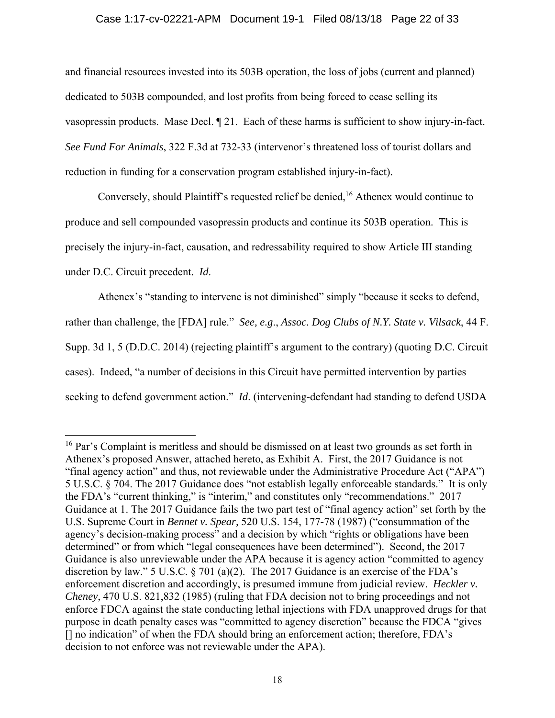# Case 1:17-cv-02221-APM Document 19-1 Filed 08/13/18 Page 22 of 33

and financial resources invested into its 503B operation, the loss of jobs (current and planned) dedicated to 503B compounded, and lost profits from being forced to cease selling its vasopressin products. Mase Decl. ¶ 21. Each of these harms is sufficient to show injury-in-fact. *See Fund For Animals*, 322 F.3d at 732-33 (intervenor's threatened loss of tourist dollars and reduction in funding for a conservation program established injury-in-fact).

Conversely, should Plaintiff's requested relief be denied,<sup>16</sup> Athenex would continue to produce and sell compounded vasopressin products and continue its 503B operation. This is precisely the injury-in-fact, causation, and redressability required to show Article III standing under D.C. Circuit precedent. *Id*.

Athenex's "standing to intervene is not diminished" simply "because it seeks to defend, rather than challenge, the [FDA] rule." *See, e.g*., *Assoc. Dog Clubs of N.Y. State v. Vilsack*, 44 F. Supp. 3d 1, 5 (D.D.C. 2014) (rejecting plaintiff's argument to the contrary) (quoting D.C. Circuit cases). Indeed, "a number of decisions in this Circuit have permitted intervention by parties seeking to defend government action." *Id*. (intervening-defendant had standing to defend USDA

 $16$  Par's Complaint is meritless and should be dismissed on at least two grounds as set forth in Athenex's proposed Answer, attached hereto, as Exhibit A. First, the 2017 Guidance is not "final agency action" and thus, not reviewable under the Administrative Procedure Act ("APA") 5 U.S.C. § 704. The 2017 Guidance does "not establish legally enforceable standards." It is only the FDA's "current thinking," is "interim," and constitutes only "recommendations." 2017 Guidance at 1. The 2017 Guidance fails the two part test of "final agency action" set forth by the U.S. Supreme Court in *Bennet v. Spear,* 520 U.S. 154, 177-78 (1987) ("consummation of the agency's decision-making process" and a decision by which "rights or obligations have been determined" or from which "legal consequences have been determined"). Second, the 2017 Guidance is also unreviewable under the APA because it is agency action "committed to agency discretion by law." 5 U.S.C.  $\S$  701 (a)(2). The 2017 Guidance is an exercise of the FDA's enforcement discretion and accordingly, is presumed immune from judicial review. *Heckler v. Cheney*, 470 U.S. 821,832 (1985) (ruling that FDA decision not to bring proceedings and not enforce FDCA against the state conducting lethal injections with FDA unapproved drugs for that purpose in death penalty cases was "committed to agency discretion" because the FDCA "gives [] no indication" of when the FDA should bring an enforcement action; therefore, FDA's decision to not enforce was not reviewable under the APA).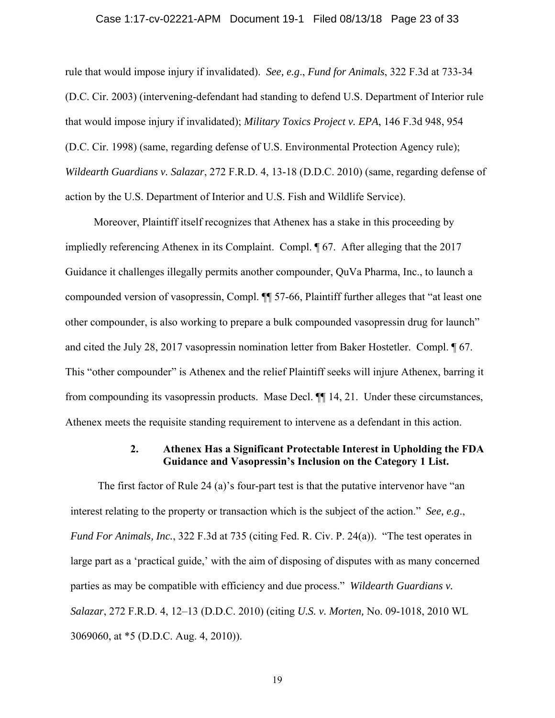### Case 1:17-cv-02221-APM Document 19-1 Filed 08/13/18 Page 23 of 33

rule that would impose injury if invalidated). *See, e.g*., *Fund for Animals*, 322 F.3d at 733-34 (D.C. Cir. 2003) (intervening-defendant had standing to defend U.S. Department of Interior rule that would impose injury if invalidated); *Military Toxics Project v. EPA*, 146 F.3d 948, 954 (D.C. Cir. 1998) (same, regarding defense of U.S. Environmental Protection Agency rule); *Wildearth Guardians v. Salazar*, 272 F.R.D. 4, 13-18 (D.D.C. 2010) (same, regarding defense of action by the U.S. Department of Interior and U.S. Fish and Wildlife Service).

Moreover, Plaintiff itself recognizes that Athenex has a stake in this proceeding by impliedly referencing Athenex in its Complaint. Compl. ¶ 67. After alleging that the 2017 Guidance it challenges illegally permits another compounder, QuVa Pharma, Inc., to launch a compounded version of vasopressin, Compl. ¶¶ 57-66, Plaintiff further alleges that "at least one other compounder, is also working to prepare a bulk compounded vasopressin drug for launch" and cited the July 28, 2017 vasopressin nomination letter from Baker Hostetler. Compl. ¶ 67. This "other compounder" is Athenex and the relief Plaintiff seeks will injure Athenex, barring it from compounding its vasopressin products. Mase Decl. ¶¶ 14, 21. Under these circumstances, Athenex meets the requisite standing requirement to intervene as a defendant in this action.

# **2. Athenex Has a Significant Protectable Interest in Upholding the FDA Guidance and Vasopressin's Inclusion on the Category 1 List.**

The first factor of Rule 24 (a)'s four-part test is that the putative intervenor have "an interest relating to the property or transaction which is the subject of the action." *See, e.g*., *Fund For Animals, Inc.*, 322 F.3d at 735 (citing Fed. R. Civ. P. 24(a)). "The test operates in large part as a 'practical guide,' with the aim of disposing of disputes with as many concerned parties as may be compatible with efficiency and due process." *Wildearth Guardians v. Salazar*, 272 F.R.D. 4, 12–13 (D.D.C. 2010) (citing *U.S. v. Morten,* No. 09-1018, 2010 WL 3069060, at \*5 (D.D.C. Aug. 4, 2010)).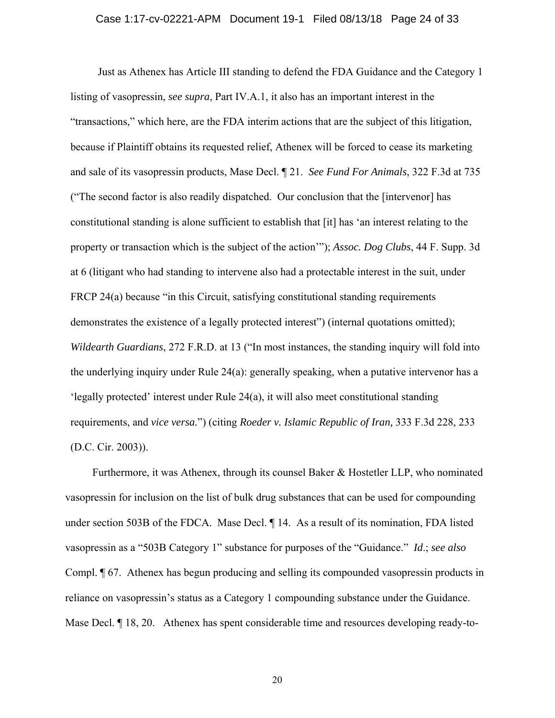### Case 1:17-cv-02221-APM Document 19-1 Filed 08/13/18 Page 24 of 33

Just as Athenex has Article III standing to defend the FDA Guidance and the Category 1 listing of vasopressin, *see supra*, Part IV.A.1, it also has an important interest in the "transactions," which here, are the FDA interim actions that are the subject of this litigation, because if Plaintiff obtains its requested relief, Athenex will be forced to cease its marketing and sale of its vasopressin products, Mase Decl. ¶ 21. *See Fund For Animals*, 322 F.3d at 735 ("The second factor is also readily dispatched. Our conclusion that the [intervenor] has constitutional standing is alone sufficient to establish that [it] has 'an interest relating to the property or transaction which is the subject of the action'"); *Assoc. Dog Clubs*, 44 F. Supp. 3d at 6 (litigant who had standing to intervene also had a protectable interest in the suit, under FRCP 24(a) because "in this Circuit, satisfying constitutional standing requirements demonstrates the existence of a legally protected interest") (internal quotations omitted); *Wildearth Guardians*, 272 F.R.D. at 13 ("In most instances, the standing inquiry will fold into the underlying inquiry under Rule 24(a): generally speaking, when a putative intervenor has a 'legally protected' interest under Rule 24(a), it will also meet constitutional standing requirements, and *vice versa.*") (citing *Roeder v. Islamic Republic of Iran,* 333 F.3d 228, 233 (D.C. Cir. 2003)).

Furthermore, it was Athenex, through its counsel Baker & Hostetler LLP, who nominated vasopressin for inclusion on the list of bulk drug substances that can be used for compounding under section 503B of the FDCA. Mase Decl.  $\parallel$  14. As a result of its nomination, FDA listed vasopressin as a "503B Category 1" substance for purposes of the "Guidance." *Id*.; *see also* Compl. ¶ 67. Athenex has begun producing and selling its compounded vasopressin products in reliance on vasopressin's status as a Category 1 compounding substance under the Guidance. Mase Decl.  $\P$  18, 20. Athenex has spent considerable time and resources developing ready-to-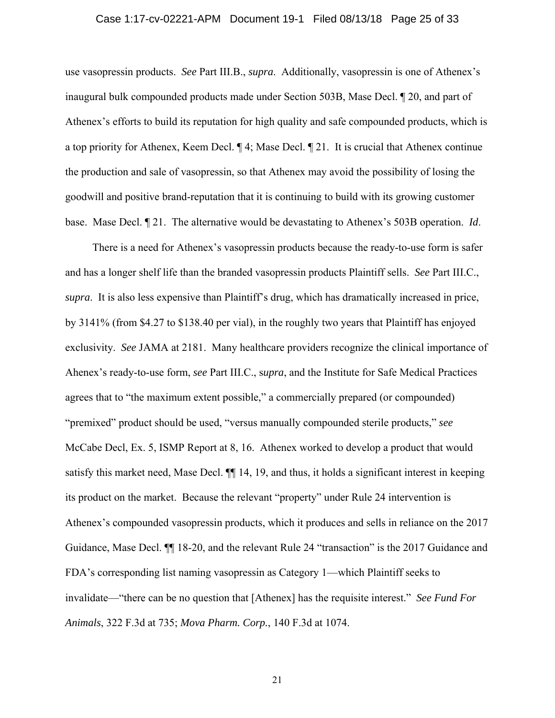### Case 1:17-cv-02221-APM Document 19-1 Filed 08/13/18 Page 25 of 33

use vasopressin products. *See* Part III.B., *supra*. Additionally, vasopressin is one of Athenex's inaugural bulk compounded products made under Section 503B, Mase Decl. ¶ 20, and part of Athenex's efforts to build its reputation for high quality and safe compounded products, which is a top priority for Athenex, Keem Decl. ¶ 4; Mase Decl. ¶ 21. It is crucial that Athenex continue the production and sale of vasopressin, so that Athenex may avoid the possibility of losing the goodwill and positive brand-reputation that it is continuing to build with its growing customer base. Mase Decl. ¶ 21. The alternative would be devastating to Athenex's 503B operation. *Id*.

There is a need for Athenex's vasopressin products because the ready-to-use form is safer and has a longer shelf life than the branded vasopressin products Plaintiff sells. *See* Part III.C., *supra*. It is also less expensive than Plaintiff's drug, which has dramatically increased in price, by 3141% (from \$4.27 to \$138.40 per vial), in the roughly two years that Plaintiff has enjoyed exclusivity. *See* JAMA at 2181. Many healthcare providers recognize the clinical importance of Ahenex's ready-to-use form, *see* Part III.C., s*upra*, and the Institute for Safe Medical Practices agrees that to "the maximum extent possible," a commercially prepared (or compounded) "premixed" product should be used, "versus manually compounded sterile products," *see* McCabe Decl, Ex. 5, ISMP Report at 8, 16. Athenex worked to develop a product that would satisfy this market need, Mase Decl. ¶¶ 14, 19, and thus, it holds a significant interest in keeping its product on the market. Because the relevant "property" under Rule 24 intervention is Athenex's compounded vasopressin products, which it produces and sells in reliance on the 2017 Guidance, Mase Decl. ¶¶ 18-20, and the relevant Rule 24 "transaction" is the 2017 Guidance and FDA's corresponding list naming vasopressin as Category 1—which Plaintiff seeks to invalidate—"there can be no question that [Athenex] has the requisite interest." *See Fund For Animals*, 322 F.3d at 735; *Mova Pharm. Corp.*, 140 F.3d at 1074.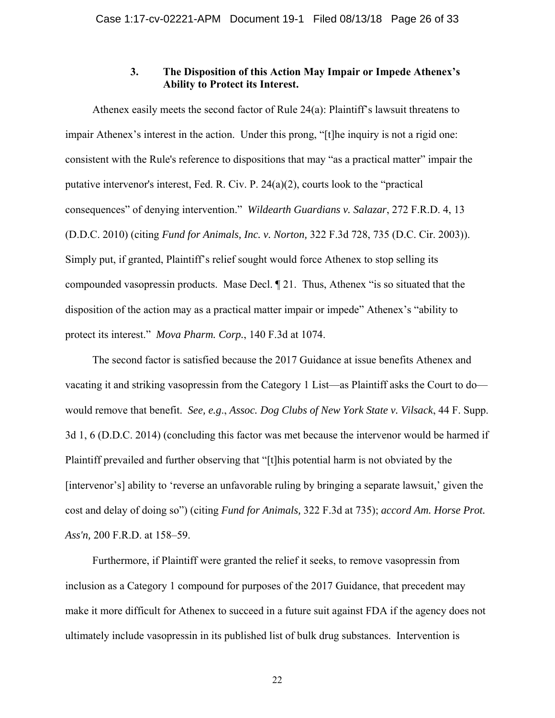# **3. The Disposition of this Action May Impair or Impede Athenex's Ability to Protect its Interest.**

Athenex easily meets the second factor of Rule 24(a): Plaintiff's lawsuit threatens to impair Athenex's interest in the action. Under this prong, "[t]he inquiry is not a rigid one: consistent with the Rule's reference to dispositions that may "as a practical matter" impair the putative intervenor's interest, Fed. R. Civ. P. 24(a)(2), courts look to the "practical consequences" of denying intervention." *Wildearth Guardians v. Salazar*, 272 F.R.D. 4, 13 (D.D.C. 2010) (citing *Fund for Animals, Inc. v. Norton,* 322 F.3d 728, 735 (D.C. Cir. 2003)). Simply put, if granted, Plaintiff's relief sought would force Athenex to stop selling its compounded vasopressin products. Mase Decl. ¶ 21. Thus, Athenex "is so situated that the disposition of the action may as a practical matter impair or impede" Athenex's "ability to protect its interest." *Mova Pharm. Corp.*, 140 F.3d at 1074.

The second factor is satisfied because the 2017 Guidance at issue benefits Athenex and vacating it and striking vasopressin from the Category 1 List—as Plaintiff asks the Court to do would remove that benefit. *See, e.g*., *Assoc. Dog Clubs of New York State v. Vilsack*, 44 F. Supp. 3d 1, 6 (D.D.C. 2014) (concluding this factor was met because the intervenor would be harmed if Plaintiff prevailed and further observing that "[t]his potential harm is not obviated by the [intervenor's] ability to 'reverse an unfavorable ruling by bringing a separate lawsuit,' given the cost and delay of doing so") (citing *Fund for Animals,* 322 F.3d at 735); *accord Am. Horse Prot. Ass'n,* 200 F.R.D. at 158–59.

Furthermore, if Plaintiff were granted the relief it seeks, to remove vasopressin from inclusion as a Category 1 compound for purposes of the 2017 Guidance, that precedent may make it more difficult for Athenex to succeed in a future suit against FDA if the agency does not ultimately include vasopressin in its published list of bulk drug substances. Intervention is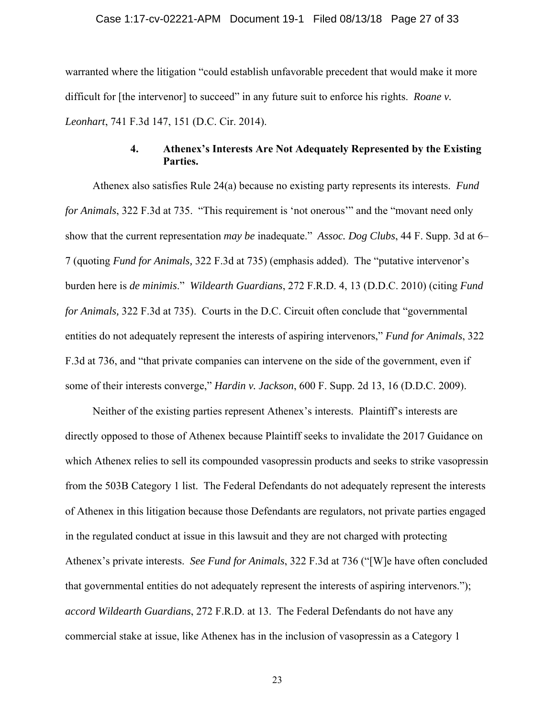warranted where the litigation "could establish unfavorable precedent that would make it more difficult for [the intervenor] to succeed" in any future suit to enforce his rights. *Roane v. Leonhart*, 741 F.3d 147, 151 (D.C. Cir. 2014).

# **4. Athenex's Interests Are Not Adequately Represented by the Existing Parties.**

Athenex also satisfies Rule 24(a) because no existing party represents its interests. *Fund for Animals*, 322 F.3d at 735. "This requirement is 'not onerous'" and the "movant need only show that the current representation *may be* inadequate." *Assoc. Dog Clubs*, 44 F. Supp. 3d at 6– 7 (quoting *Fund for Animals,* 322 F.3d at 735) (emphasis added). The "putative intervenor's burden here is *de minimis*." *Wildearth Guardians*, 272 F.R.D. 4, 13 (D.D.C. 2010) (citing *Fund for Animals,* 322 F.3d at 735). Courts in the D.C. Circuit often conclude that "governmental entities do not adequately represent the interests of aspiring intervenors," *Fund for Animals*, 322 F.3d at 736, and "that private companies can intervene on the side of the government, even if some of their interests converge," *Hardin v. Jackson*, 600 F. Supp. 2d 13, 16 (D.D.C. 2009).

Neither of the existing parties represent Athenex's interests. Plaintiff's interests are directly opposed to those of Athenex because Plaintiff seeks to invalidate the 2017 Guidance on which Athenex relies to sell its compounded vasopressin products and seeks to strike vasopressin from the 503B Category 1 list. The Federal Defendants do not adequately represent the interests of Athenex in this litigation because those Defendants are regulators, not private parties engaged in the regulated conduct at issue in this lawsuit and they are not charged with protecting Athenex's private interests. *See Fund for Animals*, 322 F.3d at 736 ("[W]e have often concluded that governmental entities do not adequately represent the interests of aspiring intervenors."); *accord Wildearth Guardians*, 272 F.R.D. at 13. The Federal Defendants do not have any commercial stake at issue, like Athenex has in the inclusion of vasopressin as a Category 1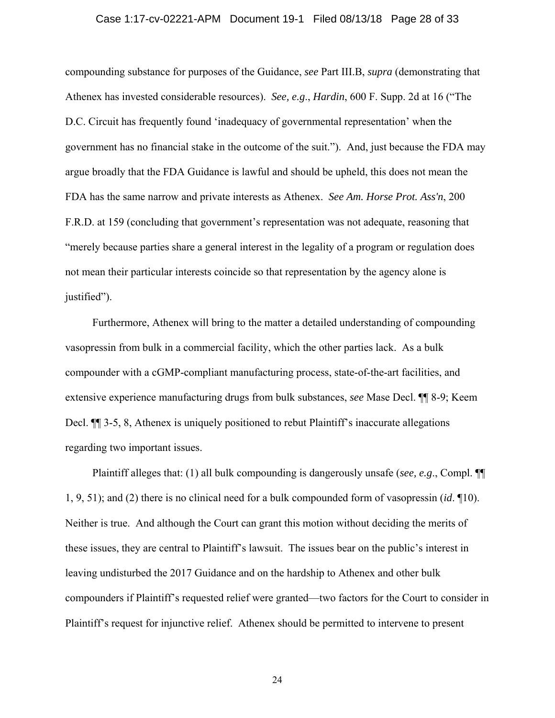### Case 1:17-cv-02221-APM Document 19-1 Filed 08/13/18 Page 28 of 33

compounding substance for purposes of the Guidance, *see* Part III.B, *supra* (demonstrating that Athenex has invested considerable resources). *See, e.g*., *Hardin*, 600 F. Supp. 2d at 16 ("The D.C. Circuit has frequently found 'inadequacy of governmental representation' when the government has no financial stake in the outcome of the suit."). And, just because the FDA may argue broadly that the FDA Guidance is lawful and should be upheld, this does not mean the FDA has the same narrow and private interests as Athenex. *See Am. Horse Prot. Ass'n*, 200 F.R.D. at 159 (concluding that government's representation was not adequate, reasoning that "merely because parties share a general interest in the legality of a program or regulation does not mean their particular interests coincide so that representation by the agency alone is justified").

Furthermore, Athenex will bring to the matter a detailed understanding of compounding vasopressin from bulk in a commercial facility, which the other parties lack. As a bulk compounder with a cGMP-compliant manufacturing process, state-of-the-art facilities, and extensive experience manufacturing drugs from bulk substances, *see* Mase Decl. ¶¶ 8-9; Keem Decl. ¶¶ 3-5, 8, Athenex is uniquely positioned to rebut Plaintiff's inaccurate allegations regarding two important issues.

Plaintiff alleges that: (1) all bulk compounding is dangerously unsafe (*see, e.g*., Compl. ¶¶ 1, 9, 51); and (2) there is no clinical need for a bulk compounded form of vasopressin (*id*. ¶10). Neither is true. And although the Court can grant this motion without deciding the merits of these issues, they are central to Plaintiff's lawsuit. The issues bear on the public's interest in leaving undisturbed the 2017 Guidance and on the hardship to Athenex and other bulk compounders if Plaintiff's requested relief were granted—two factors for the Court to consider in Plaintiff's request for injunctive relief. Athenex should be permitted to intervene to present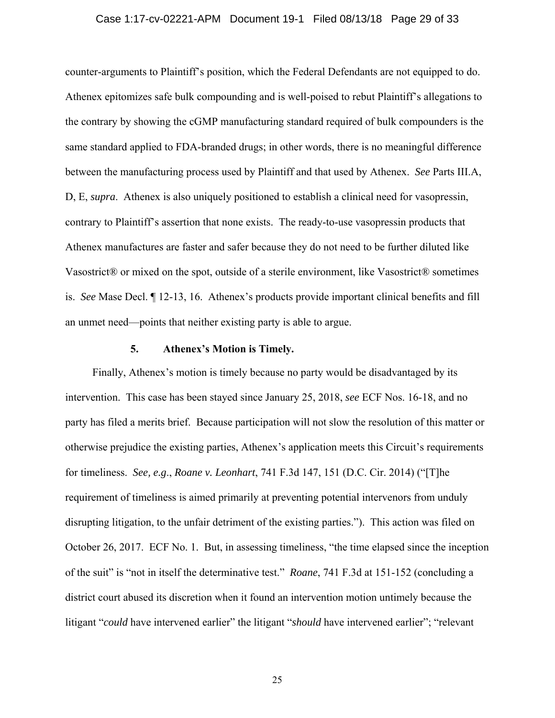### Case 1:17-cv-02221-APM Document 19-1 Filed 08/13/18 Page 29 of 33

counter-arguments to Plaintiff's position, which the Federal Defendants are not equipped to do. Athenex epitomizes safe bulk compounding and is well-poised to rebut Plaintiff's allegations to the contrary by showing the cGMP manufacturing standard required of bulk compounders is the same standard applied to FDA-branded drugs; in other words, there is no meaningful difference between the manufacturing process used by Plaintiff and that used by Athenex. *See* Parts III.A, D, E, *supra*. Athenex is also uniquely positioned to establish a clinical need for vasopressin, contrary to Plaintiff's assertion that none exists. The ready-to-use vasopressin products that Athenex manufactures are faster and safer because they do not need to be further diluted like Vasostrict® or mixed on the spot, outside of a sterile environment, like Vasostrict® sometimes is. *See* Mase Decl. ¶ 12-13, 16. Athenex's products provide important clinical benefits and fill an unmet need—points that neither existing party is able to argue.

### **5. Athenex's Motion is Timely.**

Finally, Athenex's motion is timely because no party would be disadvantaged by its intervention. This case has been stayed since January 25, 2018, *see* ECF Nos. 16-18, and no party has filed a merits brief. Because participation will not slow the resolution of this matter or otherwise prejudice the existing parties, Athenex's application meets this Circuit's requirements for timeliness. *See, e.g*., *Roane v. Leonhart*, 741 F.3d 147, 151 (D.C. Cir. 2014) ("[T]he requirement of timeliness is aimed primarily at preventing potential intervenors from unduly disrupting litigation, to the unfair detriment of the existing parties."). This action was filed on October 26, 2017. ECF No. 1. But, in assessing timeliness, "the time elapsed since the inception of the suit" is "not in itself the determinative test." *Roane*, 741 F.3d at 151-152 (concluding a district court abused its discretion when it found an intervention motion untimely because the litigant "*could* have intervened earlier" the litigant "*should* have intervened earlier"; "relevant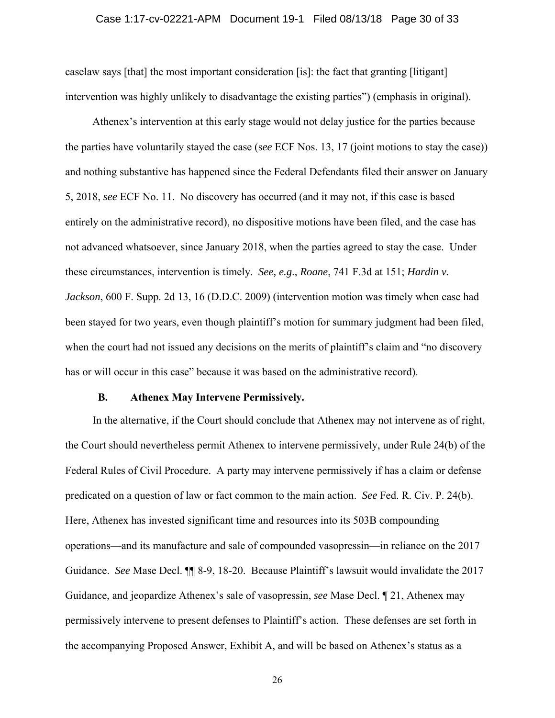### Case 1:17-cv-02221-APM Document 19-1 Filed 08/13/18 Page 30 of 33

caselaw says [that] the most important consideration [is]: the fact that granting [litigant] intervention was highly unlikely to disadvantage the existing parties") (emphasis in original).

Athenex's intervention at this early stage would not delay justice for the parties because the parties have voluntarily stayed the case (s*ee* ECF Nos. 13, 17 (joint motions to stay the case)) and nothing substantive has happened since the Federal Defendants filed their answer on January 5, 2018, *see* ECF No. 11. No discovery has occurred (and it may not, if this case is based entirely on the administrative record), no dispositive motions have been filed, and the case has not advanced whatsoever, since January 2018, when the parties agreed to stay the case. Under these circumstances, intervention is timely. *See, e.g*., *Roane*, 741 F.3d at 151; *Hardin v. Jackson*, 600 F. Supp. 2d 13, 16 (D.D.C. 2009) (intervention motion was timely when case had been stayed for two years, even though plaintiff's motion for summary judgment had been filed, when the court had not issued any decisions on the merits of plaintiff's claim and "no discovery has or will occur in this case" because it was based on the administrative record).

### **B. Athenex May Intervene Permissively.**

In the alternative, if the Court should conclude that Athenex may not intervene as of right, the Court should nevertheless permit Athenex to intervene permissively, under Rule 24(b) of the Federal Rules of Civil Procedure. A party may intervene permissively if has a claim or defense predicated on a question of law or fact common to the main action. *See* Fed. R. Civ. P. 24(b). Here, Athenex has invested significant time and resources into its 503B compounding operations—and its manufacture and sale of compounded vasopressin—in reliance on the 2017 Guidance. *See* Mase Decl. ¶¶ 8-9, 18-20. Because Plaintiff's lawsuit would invalidate the 2017 Guidance, and jeopardize Athenex's sale of vasopressin, *see* Mase Decl. ¶ 21, Athenex may permissively intervene to present defenses to Plaintiff's action. These defenses are set forth in the accompanying Proposed Answer, Exhibit A, and will be based on Athenex's status as a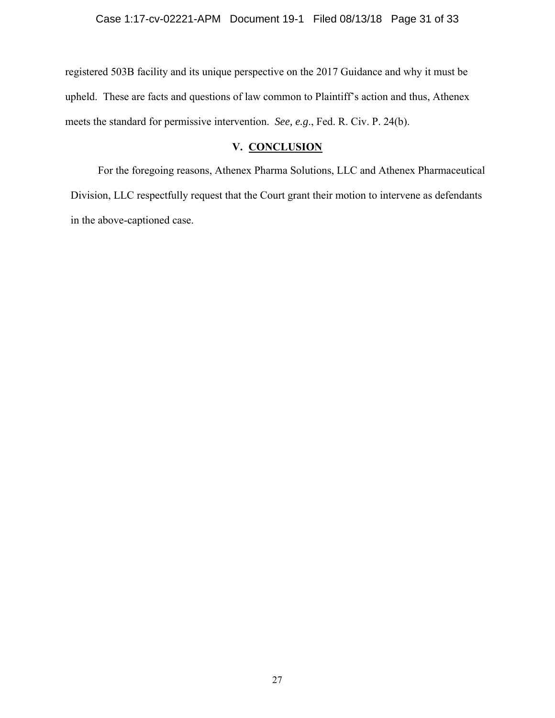registered 503B facility and its unique perspective on the 2017 Guidance and why it must be upheld. These are facts and questions of law common to Plaintiff's action and thus, Athenex meets the standard for permissive intervention. *See, e.g*., Fed. R. Civ. P. 24(b).

# **V. CONCLUSION**

For the foregoing reasons, Athenex Pharma Solutions, LLC and Athenex Pharmaceutical Division, LLC respectfully request that the Court grant their motion to intervene as defendants in the above-captioned case.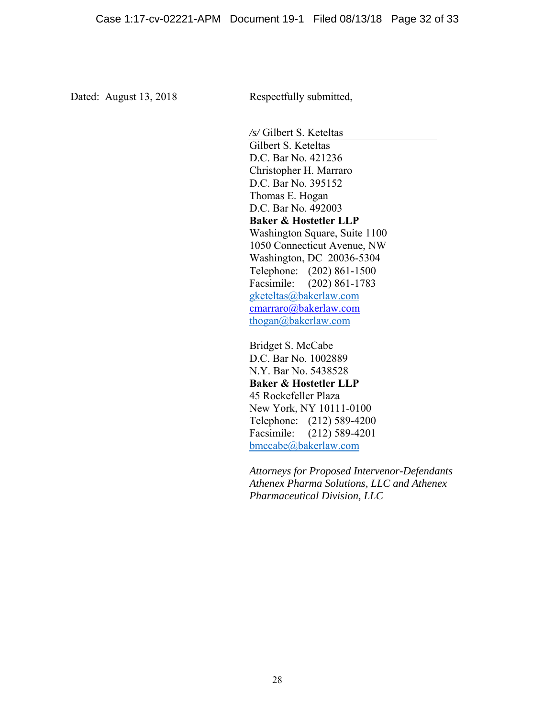Dated: August 13, 2018 Respectfully submitted,

*/s/* Gilbert S. Keteltas Gilbert S. Keteltas D.C. Bar No. 421236 Christopher H. Marraro D.C. Bar No. 395152 Thomas E. Hogan D.C. Bar No. 492003 **Baker & Hostetler LLP**  Washington Square, Suite 1100 1050 Connecticut Avenue, NW Washington, DC 20036-5304 Telephone: (202) 861-1500 Facsimile: (202) 861-1783 gketeltas@bakerlaw.com cmarraro@bakerlaw.com thogan@bakerlaw.com

Bridget S. McCabe D.C. Bar No. 1002889 N.Y. Bar No. 5438528 **Baker & Hostetler LLP**  45 Rockefeller Plaza New York, NY 10111-0100 Telephone: (212) 589-4200 Facsimile: (212) 589-4201 bmccabe@bakerlaw.com

*Attorneys for Proposed Intervenor-Defendants Athenex Pharma Solutions, LLC and Athenex Pharmaceutical Division, LLC*